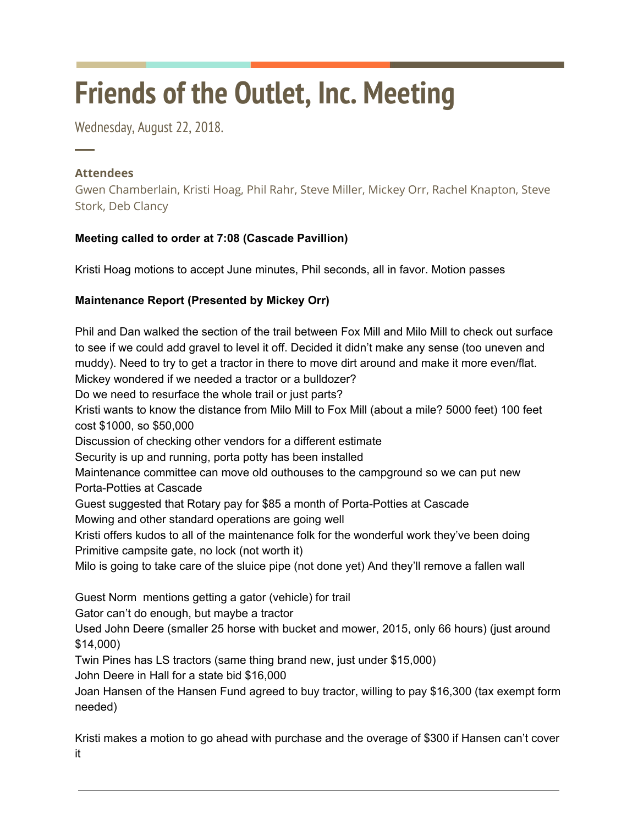# **Friends of the Outlet, Inc. Meeting**

Wednesday, August 22, 2018.

## **Attendees**

─

Gwen Chamberlain, Kristi Hoag, Phil Rahr, Steve Miller, Mickey Orr, Rachel Knapton, Steve Stork, Deb Clancy

## **Meeting called to order at 7:08 (Cascade Pavillion)**

Kristi Hoag motions to accept June minutes, Phil seconds, all in favor. Motion passes

### **Maintenance Report (Presented by Mickey Orr)**

Phil and Dan walked the section of the trail between Fox Mill and Milo Mill to check out surface to see if we could add gravel to level it off. Decided it didn't make any sense (too uneven and muddy). Need to try to get a tractor in there to move dirt around and make it more even/flat. Mickey wondered if we needed a tractor or a bulldozer? Do we need to resurface the whole trail or just parts? Kristi wants to know the distance from Milo Mill to Fox Mill (about a mile? 5000 feet) 100 feet cost \$1000, so \$50,000 Discussion of checking other vendors for a different estimate Security is up and running, porta potty has been installed Maintenance committee can move old outhouses to the campground so we can put new Porta-Potties at Cascade Guest suggested that Rotary pay for \$85 a month of Porta-Potties at Cascade Mowing and other standard operations are going well Kristi offers kudos to all of the maintenance folk for the wonderful work they've been doing Primitive campsite gate, no lock (not worth it) Milo is going to take care of the sluice pipe (not done yet) And they'll remove a fallen wall Guest Norm mentions getting a gator (vehicle) for trail Gator can't do enough, but maybe a tractor Used John Deere (smaller 25 horse with bucket and mower, 2015, only 66 hours) (just around \$14,000) Twin Pines has LS tractors (same thing brand new, just under \$15,000) John Deere in Hall for a state bid \$16,000 Joan Hansen of the Hansen Fund agreed to buy tractor, willing to pay \$16,300 (tax exempt form needed)

Kristi makes a motion to go ahead with purchase and the overage of \$300 if Hansen can't cover it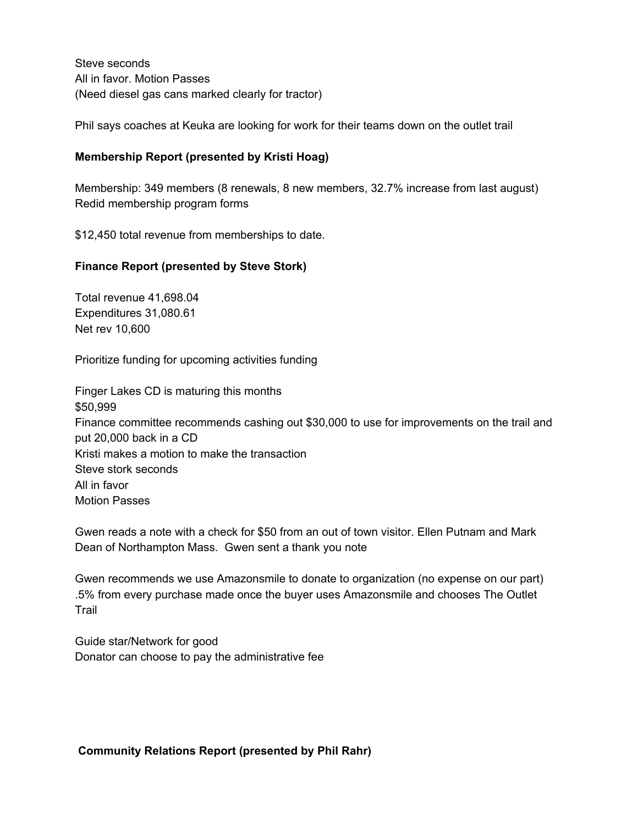Steve seconds All in favor. Motion Passes (Need diesel gas cans marked clearly for tractor)

Phil says coaches at Keuka are looking for work for their teams down on the outlet trail

#### **Membership Report (presented by Kristi Hoag)**

Membership: 349 members (8 renewals, 8 new members, 32.7% increase from last august) Redid membership program forms

\$12,450 total revenue from memberships to date.

#### **Finance Report (presented by Steve Stork)**

Total revenue 41,698.04 Expenditures 31,080.61 Net rev 10,600

Prioritize funding for upcoming activities funding

Finger Lakes CD is maturing this months \$50,999 Finance committee recommends cashing out \$30,000 to use for improvements on the trail and put 20,000 back in a CD Kristi makes a motion to make the transaction Steve stork seconds All in favor Motion Passes

Gwen reads a note with a check for \$50 from an out of town visitor. Ellen Putnam and Mark Dean of Northampton Mass. Gwen sent a thank you note

Gwen recommends we use Amazonsmile to donate to organization (no expense on our part) .5% from every purchase made once the buyer uses Amazonsmile and chooses The Outlet Trail

Guide star/Network for good Donator can choose to pay the administrative fee

**Community Relations Report (presented by Phil Rahr)**